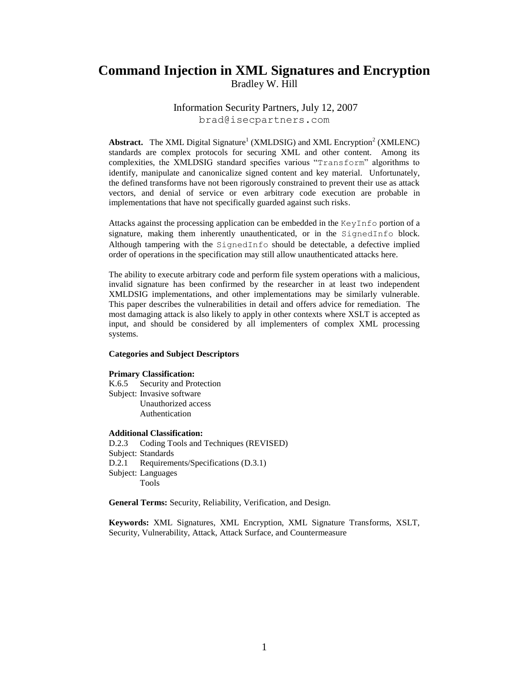# **Command Injection in XML Signatures and Encryption** Bradley W. Hill

Information Security Partners, July 12, 2007

brad@isecpartners.com

Abstract. The XML Digital Signature<sup>1</sup> (XMLDSIG) and XML Encryption<sup>2</sup> (XMLENC) standards are complex protocols for securing XML and other content. Among its complexities, the XMLDSIG standard specifies various "Transform" algorithms to identify, manipulate and canonicalize signed content and key material. Unfortunately, the defined transforms have not been rigorously constrained to prevent their use as attack vectors, and denial of service or even arbitrary code execution are probable in implementations that have not specifically guarded against such risks.

Attacks against the processing application can be embedded in the KeyInfo portion of a signature, making them inherently unauthenticated, or in the SignedInfo block. Although tampering with the SignedInfo should be detectable, a defective implied order of operations in the specification may still allow unauthenticated attacks here.

The ability to execute arbitrary code and perform file system operations with a malicious, invalid signature has been confirmed by the researcher in at least two independent XMLDSIG implementations, and other implementations may be similarly vulnerable. This paper describes the vulnerabilities in detail and offers advice for remediation. The most damaging attack is also likely to apply in other contexts where XSLT is accepted as input, and should be considered by all implementers of complex XML processing systems.

#### **Categories and Subject Descriptors**

#### **Primary Classification:**

K.6.5 Security and Protection Subject: Invasive software Unauthorized access Authentication

#### **Additional Classification:**

D.2.3 Coding Tools and Techniques (REVISED) Subject: Standards D.2.1 Requirements/Specifications (D.3.1) Subject: Languages Tools

**General Terms:** Security, Reliability, Verification, and Design.

**Keywords:** XML Signatures, XML Encryption, XML Signature Transforms, XSLT, Security, Vulnerability, Attack, Attack Surface, and Countermeasure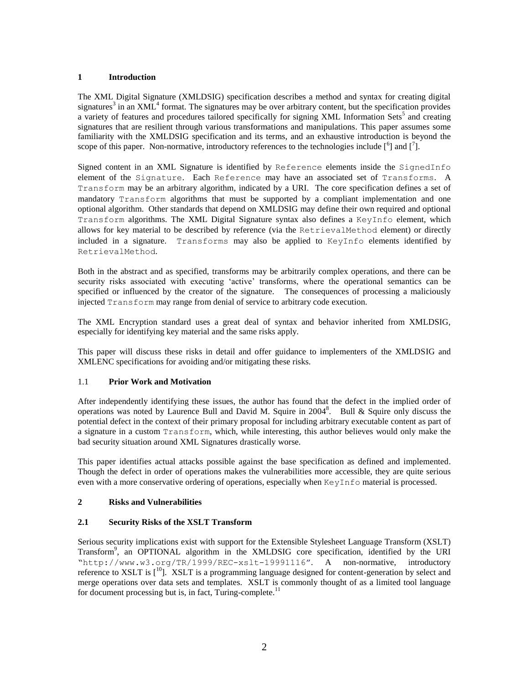### **1 Introduction**

The XML Digital Signature (XMLDSIG) specification describes a method and syntax for creating digital signatures<sup>3</sup> in an  $XML<sup>4</sup>$  format. The signatures may be over arbitrary content, but the specification provides a variety of features and procedures tailored specifically for signing XML Information Sets<sup>5</sup> and creating signatures that are resilient through various transformations and manipulations. This paper assumes some familiarity with the XMLDSIG specification and its terms, and an exhaustive introduction is beyond the scope of this paper. Non-normative, introductory references to the technologies include  $\binom{6}{1}$  and  $\binom{7}{1}$ .

Signed content in an XML Signature is identified by Reference elements inside the SignedInfo element of the Signature. Each Reference may have an associated set of Transforms. A Transform may be an arbitrary algorithm, indicated by a URI. The core specification defines a set of mandatory Transform algorithms that must be supported by a compliant implementation and one optional algorithm. Other standards that depend on XMLDSIG may define their own required and optional Transform algorithms. The XML Digital Signature syntax also defines a KeyInfo element, which allows for key material to be described by reference (via the RetrievalMethod element) or directly included in a signature. Transforms may also be applied to KeyInfo elements identified by RetrievalMethod.

Both in the abstract and as specified, transforms may be arbitrarily complex operations, and there can be security risks associated with executing "active" transforms, where the operational semantics can be specified or influenced by the creator of the signature. The consequences of processing a maliciously injected Transform may range from denial of service to arbitrary code execution.

The XML Encryption standard uses a great deal of syntax and behavior inherited from XMLDSIG, especially for identifying key material and the same risks apply.

This paper will discuss these risks in detail and offer guidance to implementers of the XMLDSIG and XMLENC specifications for avoiding and/or mitigating these risks.

### 1.1 **Prior Work and Motivation**

After independently identifying these issues, the author has found that the defect in the implied order of operations was noted by Laurence Bull and David M. Squire in 2004<sup>8</sup>. Bull & Squire only discuss the potential defect in the context of their primary proposal for including arbitrary executable content as part of a signature in a custom Transform, which, while interesting, this author believes would only make the bad security situation around XML Signatures drastically worse.

This paper identifies actual attacks possible against the base specification as defined and implemented. Though the defect in order of operations makes the vulnerabilities more accessible, they are quite serious even with a more conservative ordering of operations, especially when KeyInfo material is processed.

### **2 Risks and Vulnerabilities**

### **2.1 Security Risks of the XSLT Transform**

Serious security implications exist with support for the Extensible Stylesheet Language Transform (XSLT) Transform<sup>9</sup>, an OPTIONAL algorithm in the XMLDSIG core specification, identified by the URI "http://www.w3.org/TR/1999/REC-xslt-19991116". A non-normative, introductory reference to XSLT is  $\mathfrak{f}^{10}$ . XSLT is a programming language designed for content-generation by select and merge operations over data sets and templates. XSLT is commonly thought of as a limited tool language for document processing but is, in fact, Turing-complete.<sup>11</sup>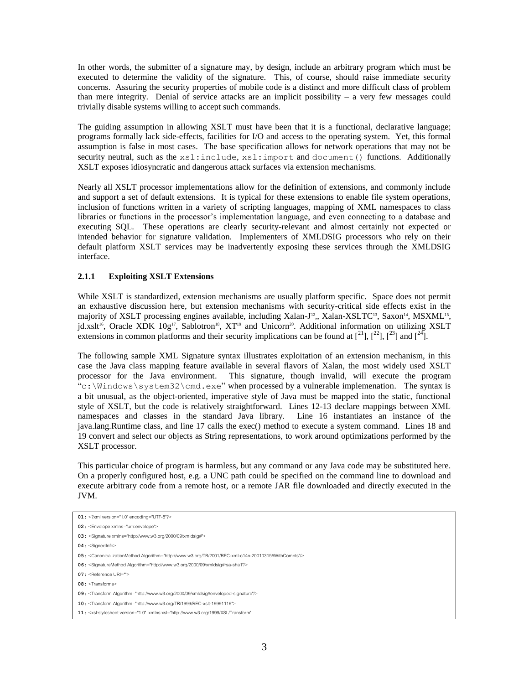In other words, the submitter of a signature may, by design, include an arbitrary program which must be executed to determine the validity of the signature. This, of course, should raise immediate security concerns. Assuring the security properties of mobile code is a distinct and more difficult class of problem than mere integrity. Denial of service attacks are an implicit possibility – a very few messages could trivially disable systems willing to accept such commands.

The guiding assumption in allowing XSLT must have been that it is a functional, declarative language; programs formally lack side-effects, facilities for I/O and access to the operating system. Yet, this formal assumption is false in most cases. The base specification allows for network operations that may not be security neutral, such as the  $xsl:include, xsl:import and document() functions. Additionally$ XSLT exposes idiosyncratic and dangerous attack surfaces via extension mechanisms.

Nearly all XSLT processor implementations allow for the definition of extensions, and commonly include and support a set of default extensions. It is typical for these extensions to enable file system operations, inclusion of functions written in a variety of scripting languages, mapping of XML namespaces to class libraries or functions in the processor's implementation language, and even connecting to a database and executing SQL. These operations are clearly security-relevant and almost certainly not expected or intended behavior for signature validation. Implementers of XMLDSIG processors who rely on their default platform XSLT services may be inadvertently exposing these services through the XMLDSIG interface.

### **2.1.1 Exploiting XSLT Extensions**

While XSLT is standardized, extension mechanisms are usually platform specific. Space does not permit an exhaustive discussion here, but extension mechanisms with security-critical side effects exist in the majority of XSLT processing engines available, including Xalan-J<sup>12</sup>,, Xalan-XSLTC<sup>13</sup>, Saxon<sup>14</sup>, MSXML<sup>15</sup>,  $j$ d.xslt<sup>16</sup>, Oracle XDK 10g<sup>17</sup>, Sablotron<sup>18</sup>, XT<sup>19</sup> and Unicorn<sup>20</sup>. Additional information on utilizing XSLT extensions in common platforms and their security implications can be found at  $\binom{21}{1}$ ,  $\binom{22}{1}$ ,  $\binom{23}{1}$  and  $\binom{24}{1}$ .

The following sample XML Signature syntax illustrates exploitation of an extension mechanism, in this case the Java class mapping feature available in several flavors of Xalan, the most widely used XSLT processor for the Java environment. This signature, though invalid, will execute the program "c:\Windows\system32\cmd.exe" when processed by a vulnerable implemenation. The syntax is a bit unusual, as the object-oriented, imperative style of Java must be mapped into the static, functional style of XSLT, but the code is relatively straightforward. Lines 12-13 declare mappings between XML namespaces and classes in the standard Java library. Line 16 instantiates an instance of the java.lang.Runtime class, and line 17 calls the exec() method to execute a system command. Lines 18 and 19 convert and select our objects as String representations, to work around optimizations performed by the XSLT processor.

This particular choice of program is harmless, but any command or any Java code may be substituted here. On a properly configured host, e.g. a UNC path could be specified on the command line to download and execute arbitrary code from a remote host, or a remote JAR file downloaded and directly executed in the JVM.

**01:** <?xml version="1.0" encoding="UTF-8"?> **02:** <Envelope xmlns="urn:envelope"> **03:** <Signature xmlns="http://www.w3.org/2000/09/xmldsig#"> **04:** <SignedInfo> **05:** <CanonicalizationMethod Algorithm="http://www.w3.org/TR/2001/REC-xml-c14n-20010315#WithComnts"/> **06:** <SignatureMethod Algorithm="http://www.w3.org/2000/09/xmldsig#rsa-sha1"/> **07:** <Reference URI=""> 08: <Transforms> **09:** <Transform Algorithm="http://www.w3.org/2000/09/xmldsig#enveloped-signature"/>

**<sup>10:</sup>** <Transform Algorithm="http://www.w3.org/TR/1999/REC-xslt-19991116">

**<sup>11:</sup>** <xsl:stylesheet version="1.0" xmlns:xsl="http://www.w3.org/1999/XSL/Transform"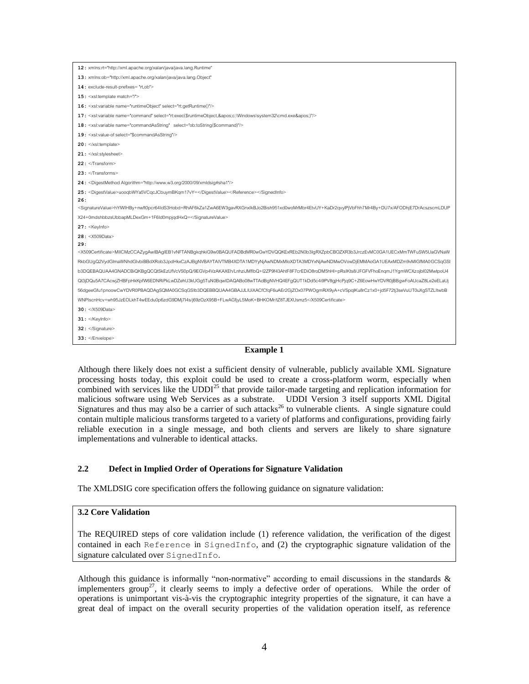| 12: xmlns:rt="http://xml.apache.org/xalan/java/java.lang.Runtime"                                                                                                    |
|----------------------------------------------------------------------------------------------------------------------------------------------------------------------|
| 13: xmlns:ob="http://xml.apache.org/xalan/java/java.lang.Object"                                                                                                     |
| 14: exclude-result-prefixes="rt,ob">                                                                                                                                 |
| 15 : < $x$ sl:template match="/">                                                                                                                                    |
| 16: <xsl:variable name="runtimeObject" select="rt:getRuntime()"></xsl:variable>                                                                                      |
| 17: <xsl:variable name="command" select="rt:exec(\$runtimeObject,'c:\Windows\system32\cmd.exe')"></xsl:variable>                                                     |
| 18: <xsl:variable name="commandAsString" select="ob:toString(\$command)"></xsl:variable>                                                                             |
| 19: <xsl:value-of select="\$commandAsString"></xsl:value-of>                                                                                                         |
| 20:                                                                                                                                                                  |
| $21:$                                                                                                                                                                |
| 22:                                                                                                                                                                  |
| 23:                                                                                                                                                                  |
| 24: <digestmethod algorithm="http://www.w3.org/2000/09/xmldsig#sha1"></digestmethod>                                                                                 |
| 25: <digestvalue>uooqbWYa5VCqcJCbuymBKqm17vY=</digestvalue>                                                                                                          |
| 26:                                                                                                                                                                  |
| <signaturevalue>hYlWlHBy+nwft0pcr64IdS3Hobd+RhAF6kZa1ZwA6EW3gavRXGnxlkBJo2Bish951xd0woMrMbr4EtvUY+KaDr2qvylPjVbFhh7Mr4By+DU7x/AFODhjE7DrAcszscmLDUP</signaturevalue> |
| X24+0mdshbbzsUbbapMLDexGm+1F6Id0mpjqdHxQ=                                                                                                                            |
| $27:$ <keyinfo></keyinfo>                                                                                                                                            |
| 28: < X509Data>                                                                                                                                                      |
| 29:                                                                                                                                                                  |
| <x509certificate>MIICMzCCAZygAwIBAgIEB1vNFTANBgkqhkiG9w0BAQUFADBdMR0wGwYDVQQKExREb2N0b3IgRXZpbCBOZXR3b3JrczEvMC0GA1UECxMmTWFuSW5UaGVNaW</x509certificate>            |
| RkbGUgQ2VydGlmaWNhdGlvbiBBdXRob3JpdHkxCzAJBgNVBAYTAIVTMB4XDTA1MDYyNjAwNDMxMloXDTA3MDYxNjAwNDMwOVowDjEMMAoGA1UEAxMDZm9vMIGfMA0GCSqGSI                                 |
| b3DQEBAQUAA4GNADCBiQKBgQCQtSkEzUfVcVS0pQ/9EGVp4VzAKAXEh/LnhziJMflbQ+l2ZP9f43AhtF8F7crEDiO8roDM5hHl+pRslKts8/JFGFVFhoEnqmJ1YgmWCXzojbl02MwtpoU4                       |
| Qt3jDQu5A7CAcwjZHBFpHkKpfW6EDNRiPkLwDZehU3kUGg5TuN0BqwIDAQABo08wTTAdBgNVHQ4EFgQUT1kDd5c4i9PV8gjHcPjq9C+Z6EowHwYDVR0jBBgwFoAUcaZ8Le2eELaUj                            |
| 56dgeeGfu1pnoowCwYDVR0PBAQDAqSQMA0GCSqGSlb3DQEBBQUAA4GBAJJLIUiXACfCfqF6uAEr2GjZOx07PWOqmRiX9yA+cVSpqlKu8rCz1x0+jd5F72tj3seVuUT0uXqSTZLItwbB                          |
| WNPIscnHcv+wh95JzEOLkhT4wEEdu0p6zdG9DMj7I4s/j69zOzX95B+FLwAGfjyL5MoK+BHKOMr/tZ8TJEXUsmz5                                                                             |
| 30:                                                                                                                                                                  |
| $31:$                                                                                                                                                                |
| 32 :                                                                                                                                                                 |
| 33:                                                                                                                                                                  |
| п---<br>. 1. 1                                                                                                                                                       |

#### **Example 1**

Although there likely does not exist a sufficient density of vulnerable, publicly available XML Signature processing hosts today, this exploit could be used to create a cross-platform worm, especially when combined with services like the  $\text{UDDI}^{25}$  that provide tailor-made targeting and replication information for malicious software using Web Services as a substrate. UDDI Version 3 itself supports XML Digital Signatures and thus may also be a carrier of such attacks<sup>26</sup> to vulnerable clients. A single signature could contain multiple malicious transforms targeted to a variety of platforms and configurations, providing fairly reliable execution in a single message, and both clients and servers are likely to share signature implementations and vulnerable to identical attacks.

### **2.2 Defect in Implied Order of Operations for Signature Validation**

The XMLDSIG core specification offers the following guidance on signature validation:

#### **3.2 Core Validation**

The REQUIRED steps of core validation include (1) reference validation, the verification of the digest contained in each Reference in SignedInfo, and (2) the cryptographic signature validation of the signature calculated over SignedInfo.

Although this guidance is informally "non-normative" according to email discussions in the standards  $\&$ implementers group<sup>27</sup>, it clearly seems to imply a defective order of operations. While the order of operations is unimportant vis-à-vis the cryptographic integrity properties of the signature, it can have a great deal of impact on the overall security properties of the validation operation itself, as reference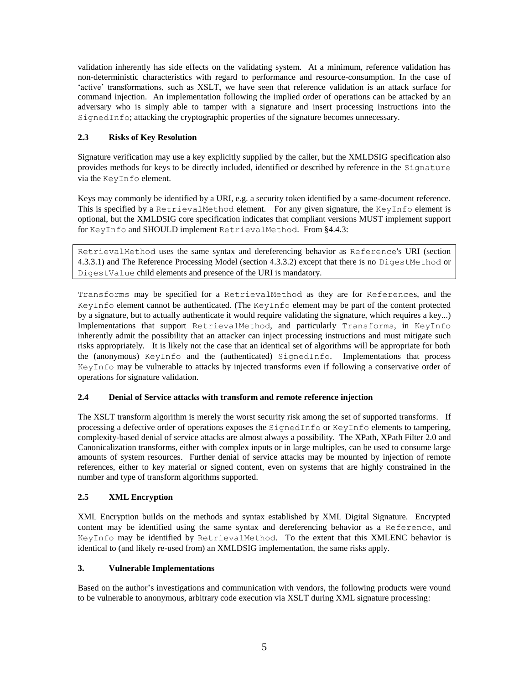validation inherently has side effects on the validating system. At a minimum, reference validation has non-deterministic characteristics with regard to performance and resource-consumption. In the case of "active" transformations, such as XSLT, we have seen that reference validation is an attack surface for command injection. An implementation following the implied order of operations can be attacked by an adversary who is simply able to tamper with a signature and insert processing instructions into the SignedInfo; attacking the cryptographic properties of the signature becomes unnecessary.

## **2.3 Risks of Key Resolution**

Signature verification may use a key explicitly supplied by the caller, but the XMLDSIG specification also provides methods for keys to be directly included, identified or described by reference in the Signature via the KeyInfo element.

Keys may commonly be identified by a URI, e.g. a security token identified by a same-document reference. This is specified by a RetrievalMethod element. For any given signature, the KeyInfo element is optional, but the XMLDSIG core specification indicates that compliant versions MUST implement support for KeyInfo and SHOULD implement RetrievalMethod. From §4.4.3:

RetrievalMethod uses the same syntax and dereferencing behavior as Reference's URI (section 4.3.3.1) and The Reference Processing Model (section 4.3.3.2) except that there is no DigestMethod or DigestValue child elements and presence of the URI is mandatory.

Transforms may be specified for a RetrievalMethod as they are for References, and the KeyInfo element cannot be authenticated. (The KeyInfo element may be part of the content protected by a signature, but to actually authenticate it would require validating the signature, which requires a key...) Implementations that support RetrievalMethod, and particularly Transforms, in KeyInfo inherently admit the possibility that an attacker can inject processing instructions and must mitigate such risks appropriately. It is likely not the case that an identical set of algorithms will be appropriate for both the (anonymous) KeyInfo and the (authenticated) SignedInfo. Implementations that process KeyInfo may be vulnerable to attacks by injected transforms even if following a conservative order of operations for signature validation.

## **2.4 Denial of Service attacks with transform and remote reference injection**

The XSLT transform algorithm is merely the worst security risk among the set of supported transforms. If processing a defective order of operations exposes the SignedInfo or KeyInfo elements to tampering, complexity-based denial of service attacks are almost always a possibility. The XPath, XPath Filter 2.0 and Canonicalization transforms, either with complex inputs or in large multiples, can be used to consume large amounts of system resources. Further denial of service attacks may be mounted by injection of remote references, either to key material or signed content, even on systems that are highly constrained in the number and type of transform algorithms supported.

# **2.5 XML Encryption**

XML Encryption builds on the methods and syntax established by XML Digital Signature. Encrypted content may be identified using the same syntax and dereferencing behavior as a Reference, and KeyInfo may be identified by RetrievalMethod. To the extent that this XMLENC behavior is identical to (and likely re-used from) an XMLDSIG implementation, the same risks apply.

## **3. Vulnerable Implementations**

Based on the author"s investigations and communication with vendors, the following products were vound to be vulnerable to anonymous, arbitrary code execution via XSLT during XML signature processing: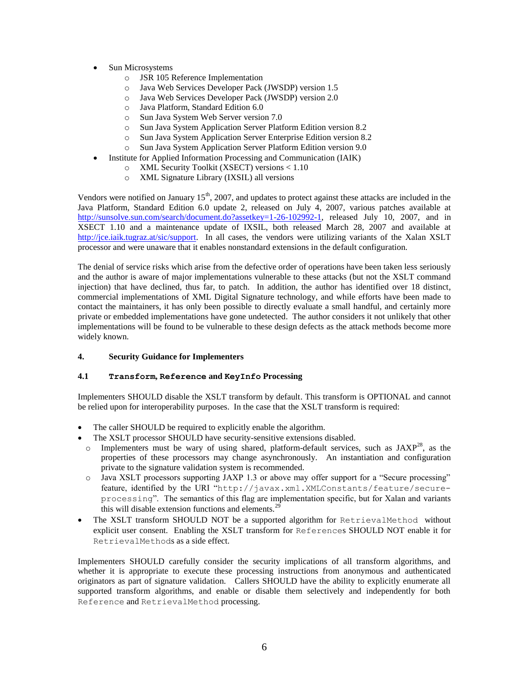- Sun Microsystems
	- o JSR 105 Reference Implementation
	- o Java Web Services Developer Pack (JWSDP) version 1.5
	- o Java Web Services Developer Pack (JWSDP) version 2.0
	- o Java Platform, Standard Edition 6.0
	- o Sun Java System Web Server version 7.0
	- o Sun Java System Application Server Platform Edition version 8.2
	- o Sun Java System Application Server Enterprise Edition version 8.2
	- o Sun Java System Application Server Platform Edition version 9.0
	- Institute for Applied Information Processing and Communication (IAIK)
		- o XML Security Toolkit (XSECT) versions < 1.10
		- o XML Signature Library (IXSIL) all versions

Vendors were notified on January  $15<sup>th</sup>$ , 2007, and updates to protect against these attacks are included in the Java Platform, Standard Edition 6.0 update 2, released on July 4, 2007, various patches available at [http://sunsolve.sun.com/search/document.do?assetkey=1-26-102992-1,](http://sunsolve.sun.com/search/document.do?assetkey=1-26-102992-1) released July 10, 2007, and in XSECT 1.10 and a maintenance update of IXSIL, both released March 28, 2007 and available at [http://jce.iaik.tugraz.at/sic/support.](http://jce.iaik.tugraz.at/sic/support) In all cases, the vendors were utilizing variants of the Xalan XSLT processor and were unaware that it enables nonstandard extensions in the default configuration.

The denial of service risks which arise from the defective order of operations have been taken less seriously and the author is aware of major implementations vulnerable to these attacks (but not the XSLT command injection) that have declined, thus far, to patch. In addition, the author has identified over 18 distinct, commercial implementations of XML Digital Signature technology, and while efforts have been made to contact the maintainers, it has only been possible to directly evaluate a small handful, and certainly more private or embedded implementations have gone undetected. The author considers it not unlikely that other implementations will be found to be vulnerable to these design defects as the attack methods become more widely known.

### **4. Security Guidance for Implementers**

### **4.1 Transform, Reference and KeyInfo Processing**

Implementers SHOULD disable the XSLT transform by default. This transform is OPTIONAL and cannot be relied upon for interoperability purposes. In the case that the XSLT transform is required:

- The caller SHOULD be required to explicitly enable the algorithm.
- The XSLT processor SHOULD have security-sensitive extensions disabled.
- $\circ$  Implementers must be wary of using shared, platform-default services, such as JAXP<sup>28</sup>, as the properties of these processors may change asynchronously. An instantiation and configuration private to the signature validation system is recommended.
- o Java XSLT processors supporting JAXP 1.3 or above may offer support for a "Secure processing" feature, identified by the URI "http://javax.xml.XMLConstants/feature/secureprocessing". The semantics of this flag are implementation specific, but for Xalan and variants this will disable extension functions and elements.<sup>29</sup>
- The XSLT transform SHOULD NOT be a supported algorithm for RetrievalMethod without explicit user consent. Enabling the XSLT transform for References SHOULD NOT enable it for RetrievalMethods as a side effect.

Implementers SHOULD carefully consider the security implications of all transform algorithms, and whether it is appropriate to execute these processing instructions from anonymous and authenticated originators as part of signature validation. Callers SHOULD have the ability to explicitly enumerate all supported transform algorithms, and enable or disable them selectively and independently for both Reference and RetrievalMethod processing.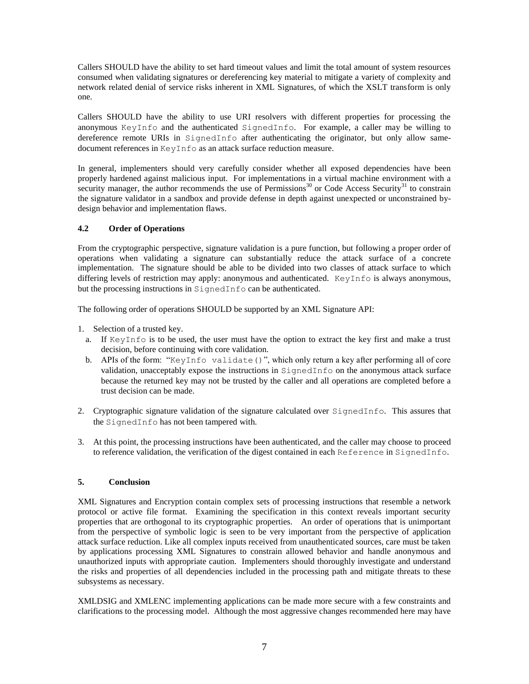Callers SHOULD have the ability to set hard timeout values and limit the total amount of system resources consumed when validating signatures or dereferencing key material to mitigate a variety of complexity and network related denial of service risks inherent in XML Signatures, of which the XSLT transform is only one.

Callers SHOULD have the ability to use URI resolvers with different properties for processing the anonymous KeyInfo and the authenticated SignedInfo. For example, a caller may be willing to dereference remote URIs in SignedInfo after authenticating the originator, but only allow samedocument references in KeyInfo as an attack surface reduction measure.

In general, implementers should very carefully consider whether all exposed dependencies have been properly hardened against malicious input. For implementations in a virtual machine environment with a security manager, the author recommends the use of Permissions<sup>30</sup> or Code Access Security<sup>31</sup> to constrain the signature validator in a sandbox and provide defense in depth against unexpected or unconstrained bydesign behavior and implementation flaws.

### **4.2 Order of Operations**

From the cryptographic perspective, signature validation is a pure function, but following a proper order of operations when validating a signature can substantially reduce the attack surface of a concrete implementation. The signature should be able to be divided into two classes of attack surface to which differing levels of restriction may apply: anonymous and authenticated. KeyInfo is always anonymous, but the processing instructions in SignedInfo can be authenticated.

The following order of operations SHOULD be supported by an XML Signature API:

- 1. Selection of a trusted key.
	- a. If KeyInfo is to be used, the user must have the option to extract the key first and make a trust decision, before continuing with core validation.
	- b. APIs of the form: "KeyInfo validate()", which only return a key after performing all of core validation, unacceptably expose the instructions in SignedInfo on the anonymous attack surface because the returned key may not be trusted by the caller and all operations are completed before a trust decision can be made.
- 2. Cryptographic signature validation of the signature calculated over SignedInfo. This assures that the SignedInfo has not been tampered with.
- 3. At this point, the processing instructions have been authenticated, and the caller may choose to proceed to reference validation, the verification of the digest contained in each Reference in SignedInfo.

### **5. Conclusion**

XML Signatures and Encryption contain complex sets of processing instructions that resemble a network protocol or active file format. Examining the specification in this context reveals important security properties that are orthogonal to its cryptographic properties. An order of operations that is unimportant from the perspective of symbolic logic is seen to be very important from the perspective of application attack surface reduction. Like all complex inputs received from unauthenticated sources, care must be taken by applications processing XML Signatures to constrain allowed behavior and handle anonymous and unauthorized inputs with appropriate caution. Implementers should thoroughly investigate and understand the risks and properties of all dependencies included in the processing path and mitigate threats to these subsystems as necessary.

XMLDSIG and XMLENC implementing applications can be made more secure with a few constraints and clarifications to the processing model. Although the most aggressive changes recommended here may have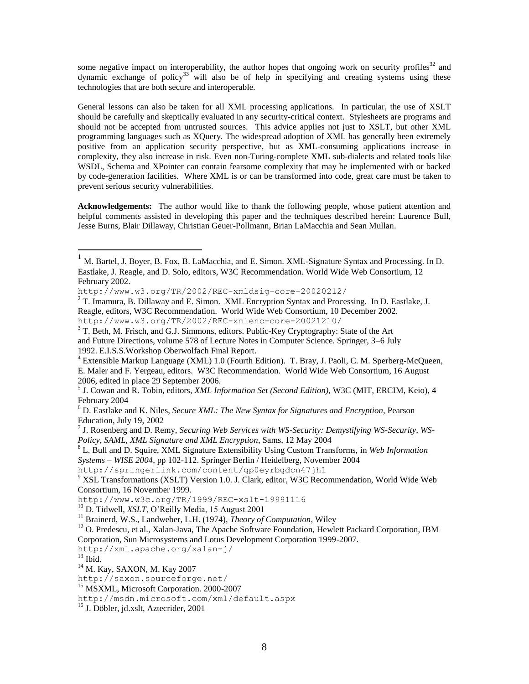some negative impact on interoperability, the author hopes that ongoing work on security profiles $32$  and dynamic exchange of policy<sup>33</sup> will also be of help in specifying and creating systems using these technologies that are both secure and interoperable.

General lessons can also be taken for all XML processing applications. In particular, the use of XSLT should be carefully and skeptically evaluated in any security-critical context. Stylesheets are programs and should not be accepted from untrusted sources. This advice applies not just to XSLT, but other XML programming languages such as XQuery. The widespread adoption of XML has generally been extremely positive from an application security perspective, but as XML-consuming applications increase in complexity, they also increase in risk. Even non-Turing-complete XML sub-dialects and related tools like WSDL, Schema and XPointer can contain fearsome complexity that may be implemented with or backed by code-generation facilities. Where XML is or can be transformed into code, great care must be taken to prevent serious security vulnerabilities.

**Acknowledgements:** The author would like to thank the following people, whose patient attention and helpful comments assisted in developing this paper and the techniques described herein: Laurence Bull, Jesse Burns, Blair Dillaway, Christian Geuer-Pollmann, Brian LaMacchia and Sean Mullan.

 $\overline{a}$ 

<sup>&</sup>lt;sup>1</sup> M. Bartel, J. Boyer, B. Fox, B. LaMacchia, and E. Simon. XML-Signature Syntax and Processing. In D. Eastlake, J. Reagle, and D. Solo, editors, W3C Recommendation. World Wide Web Consortium, 12 February 2002.

http://www.w3.org/TR/2002/REC-xmldsig-core-20020212/

 $2$  T. Imamura, B. Dillaway and E. Simon. XML Encryption Syntax and Processing. In D. Eastlake, J. Reagle, editors, W3C Recommendation. World Wide Web Consortium, 10 December 2002. http://www.w3.org/TR/2002/REC-xmlenc-core-20021210/

<sup>&</sup>lt;sup>3</sup> T. Beth, M. Frisch, and G.J. Simmons, editors. Public-Key Cryptography: State of the Art and Future Directions, volume 578 of Lecture Notes in Computer Science. Springer, 3–6 July 1992. E.I.S.S.Workshop Oberwolfach Final Report.

<sup>&</sup>lt;sup>4</sup> Extensible Markup Language (XML) 1.0 (Fourth Edition). T. Bray, J. Paoli, C. M. Sperberg-McQueen, E. Maler and F. Yergeau, editors. W3C Recommendation. World Wide Web Consortium, 16 August 2006, edited in place 29 September 2006.

<sup>5</sup> J. Cowan and R. Tobin, editors, *XML Information Set (Second Edition)*, W3C (MIT, ERCIM, Keio), 4 February 2004

<sup>6</sup> D. Eastlake and K. Niles, *Secure XML: The New Syntax for Signatures and Encryption*, Pearson Education, July 19, 2002

<sup>7</sup> J. Rosenberg and D. Remy, *Securing Web Services with WS-Security: Demystifying WS-Security, WS-Policy, SAML, XML Signature and XML Encryption*, Sams, 12 May 2004

<sup>8</sup> L. Bull and D. Squire, XML Signature Extensibility Using Custom Transforms, in *Web Information Systems – WISE 2004*, pp 102-112. Springer Berlin / Heidelberg, November 2004

http://springerlink.com/content/qp0eyrbgdcn47jh1

<sup>&</sup>lt;sup>9</sup> XSL Transformations (XSLT) Version 1.0. J. Clark, editor, W3C Recommendation, World Wide Web Consortium, 16 November 1999.

http://www.w3c.org/TR/1999/REC-xslt-19991116

<sup>10</sup> D. Tidwell, *XSLT*, O"Reilly Media, 15 August 2001

<sup>11</sup> Brainerd, W.S., Landweber, L.H. (1974), *Theory of Computation*, Wiley

<sup>&</sup>lt;sup>12</sup> O. Predescu, et al., Xalan-Java, The Apache Software Foundation, Hewlett Packard Corporation, IBM Corporation, Sun Microsystems and Lotus Development Corporation 1999-2007.

http://xml.apache.org/xalan-j/

 $13$  Ibid.

<sup>14</sup> M. Kay, SAXON, M. Kay 2007

http://saxon.sourceforge.net/

<sup>&</sup>lt;sup>15</sup> MSXML, Microsoft Corporation. 2000-2007

http://msdn.microsoft.com/xml/default.aspx

<sup>16</sup> J. Döbler, jd.xslt, Aztecrider, 2001